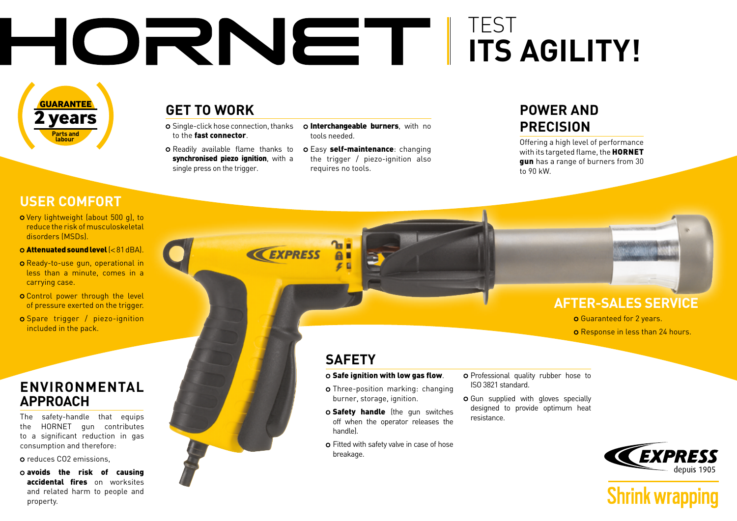# TEST **ITS AGILITY!**

**EXPRESS** 

**2 years GUARANTEE Parts and labour** 

## **GET TO WORK**

- o Single-click hose connection, thanks to the fast connector
- Readily available flame thanks to synchronised piezo ignition, with a single press on the trigger.
- o Interchangeable burners, with no tools needed.
- o Easy self-maintenance: changing the trigger / piezo-ignition also requires no tools.

## **POWER AND PRECISION**

Offering a high level of performance with its targeted flame, the **HORNET** gun has a range of burners from 30 to 90 kW.

## **USER COMFORT**

o Very lightweight (about 500 g), to reduce the risk of musculoskeletal disorders (MSDs).

#### Attenuated sound level (< 81dBA).

- **O** Ready-to-use gun, operational in less than a minute, comes in a carrying case.
- **O** Control power through the level of pressure exerted on the trigger.
- Spare trigger / piezo-ignition included in the pack.

### **ENVIRONMENTAL APPROACH**

The safety-handle that equips the HORNET gun contributes to a significant reduction in gas consumption and therefore:

reduces CO2 emissions,

avoids the risk of causing accidental fires on worksites and related harm to people and property.



## **SAFETY**

#### $\circ$  Safe ignition with low gas flow.

- Three-position marking: changing burner, storage, ignition.
- o Safety handle (the gun switches off when the operator releases the handle).
- Fitted with safety valve in case of hose breakage.
- o Professional quality rubber hose to ISO 3821 standard.
- o Gun supplied with gloves specially designed to provide optimum heat resistance.



**Shrink wrapping** 

**AFTER-SALES SERVICE**

**O** Response in less than 24 hours.

Guaranteed for 2 years.